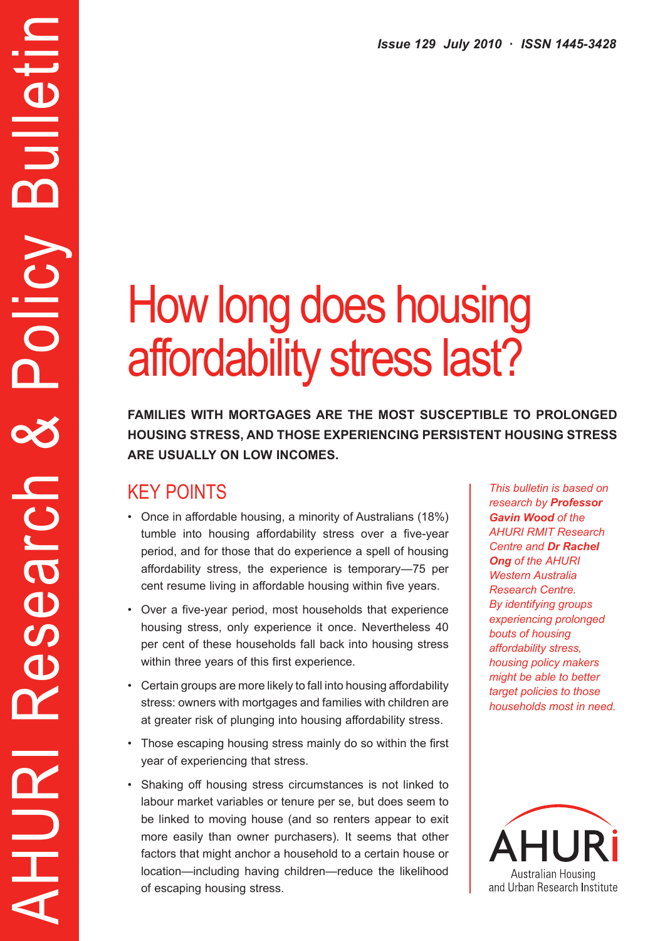# How long does housing affordability stress last?

**Families with mortgages are the most susceptible to prolonged housing stress, and those experiencing persistent housing stress are usually on low incomes.**

# KEY POINTS

AHURI Research & Policy Bulletin

Research

HURI

Policy

Bulletir

- Once in affordable housing, a minority of Australians (18%) tumble into housing affordability stress over a five-year period, and for those that do experience a spell of housing affordability stress, the experience is temporary—75 per cent resume living in affordable housing within five years.
- Over a five-year period, most households that experience housing stress, only experience it once. Nevertheless 40 per cent of these households fall back into housing stress within three years of this first experience.
- Certain groups are more likely to fall into housing affordability stress: owners with mortgages and families with children are at greater risk of plunging into housing affordability stress.
- Those escaping housing stress mainly do so within the first year of experiencing that stress.
- • Shaking off housing stress circumstances is not linked to labour market variables or tenure per se, but does seem to be linked to moving house (and so renters appear to exit more easily than owner purchasers). It seems that other factors that might anchor a household to a certain house or location—including having children—reduce the likelihood of escaping housing stress.

*This bulletin is based on research by Professor Gavin Wood of the AHURI RMIT Research Centre and Dr Rachel Ong of the AHURI Western Australia Research Centre. By identifying groups experiencing prolonged bouts of housing affordability stress, housing policy makers might be able to better target policies to those households most in need.*

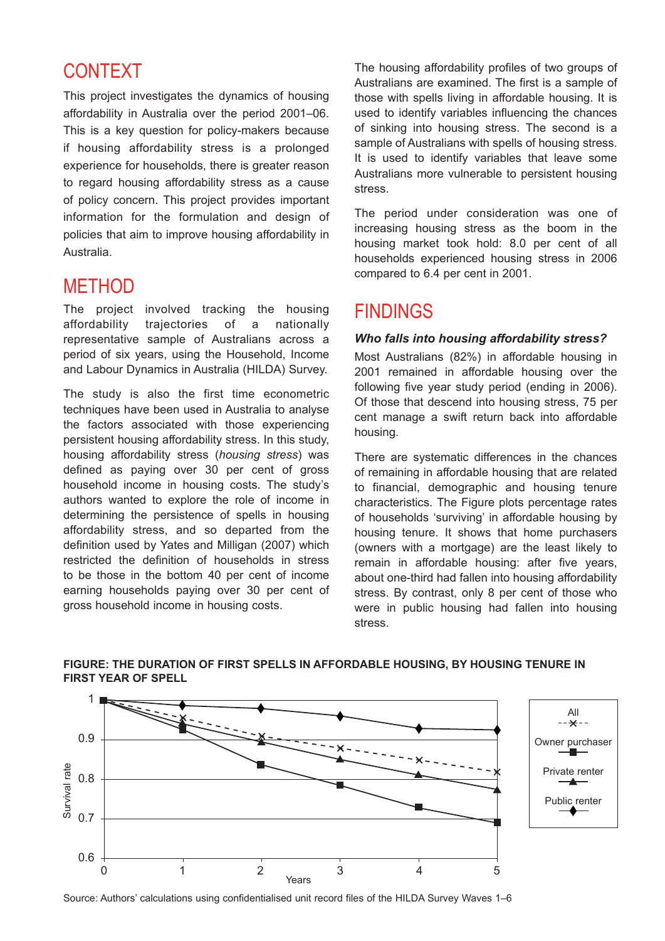# CONTEXT

This project investigates the dynamics of housing affordability in Australia over the period 2001–06. This is a key question for policy-makers because if housing affordability stress is a prolonged experience for households, there is greater reason to regard housing affordability stress as a cause of policy concern. This project provides important information for the formulation and design of policies that aim to improve housing affordability in Australia.

# **METHOD**

The project involved tracking the housing affordability trajectories of a nationally representative sample of Australians across a period of six years, using the Household, Income and Labour Dynamics in Australia (HILDA) Survey.

The study is also the first time econometric techniques have been used in Australia to analyse the factors associated with those experiencing persistent housing affordability stress. In this study, housing affordability stress (*housing stress*) was defined as paying over 30 per cent of gross household income in housing costs. The study's authors wanted to explore the role of income in determining the persistence of spells in housing affordability stress, and so departed from the definition used by Yates and Milligan (2007) which restricted the definition of households in stress to be those in the bottom 40 per cent of income earning households paying over 30 per cent of gross household income in housing costs.

The housing affordability profiles of two groups of Australians are examined. The first is a sample of those with spells living in affordable housing. It is used to identify variables influencing the chances of sinking into housing stress. The second is a sample of Australians with spells of housing stress. It is used to identify variables that leave some Australians more vulnerable to persistent housing stress.

The period under consideration was one of increasing housing stress as the boom in the housing market took hold: 8.0 per cent of all households experienced housing stress in 2006 compared to 6.4 per cent in 2001.

## FINDINGS

#### *Who falls into housing affordability stress?*

Most Australians (82%) in affordable housing in 2001 remained in affordable housing over the following five year study period (ending in 2006). Of those that descend into housing stress, 75 per cent manage a swift return back into affordable housing.

There are systematic differences in the chances of remaining in affordable housing that are related to financial, demographic and housing tenure characteristics. The Figure plots percentage rates of households 'surviving' in affordable housing by housing tenure. It shows that home purchasers (owners with a mortgage) are the least likely to remain in affordable housing: after five years, about one-third had fallen into housing affordability stress. By contrast, only 8 per cent of those who were in public housing had fallen into housing stress.



#### **Figure: The duration of first spells in affordable housing, by housing tenure in first year of spell**

Source: Authors' calculations using confidentialised unit record files of the HILDA Survey Waves 1–6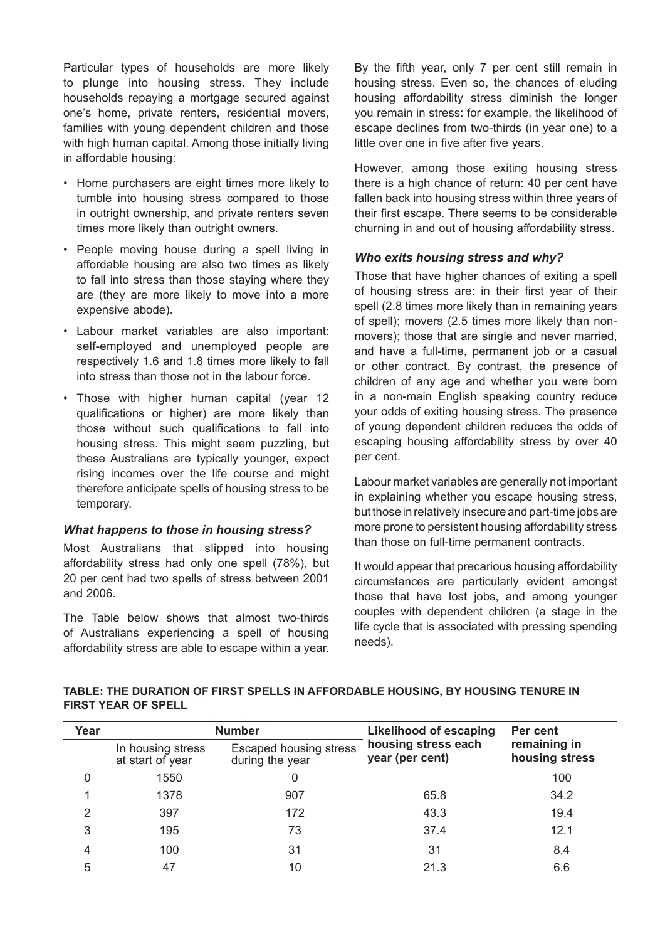Particular types of households are more likely to plunge into housing stress. They include households repaying a mortgage secured against one's home, private renters, residential movers, families with young dependent children and those with high human capital. Among those initially living in affordable housing:

- • Home purchasers are eight times more likely to tumble into housing stress compared to those in outright ownership, and private renters seven times more likely than outright owners.
- • People moving house during a spell living in affordable housing are also two times as likely to fall into stress than those staying where they are (they are more likely to move into a more expensive abode).
- • Labour market variables are also important: self-employed and unemployed people are respectively 1.6 and 1.8 times more likely to fall into stress than those not in the labour force.
- Those with higher human capital (year 12 qualifications or higher) are more likely than those without such qualifications to fall into housing stress. This might seem puzzling, but these Australians are typically younger, expect rising incomes over the life course and might therefore anticipate spells of housing stress to be temporary.

#### *What happens to those in housing stress?*

Most Australians that slipped into housing affordability stress had only one spell (78%), but 20 per cent had two spells of stress between 2001 and 2006.

The Table below shows that almost two-thirds of Australians experiencing a spell of housing affordability stress are able to escape within a year. By the fifth year, only 7 per cent still remain in housing stress. Even so, the chances of eluding housing affordability stress diminish the longer you remain in stress: for example, the likelihood of escape declines from two-thirds (in year one) to a little over one in five after five years.

However, among those exiting housing stress there is a high chance of return: 40 per cent have fallen back into housing stress within three years of their first escape. There seems to be considerable churning in and out of housing affordability stress.

#### *Who exits housing stress and why?*

Those that have higher chances of exiting a spell of housing stress are: in their first year of their spell (2.8 times more likely than in remaining years of spell); movers (2.5 times more likely than nonmovers); those that are single and never married, and have a full-time, permanent job or a casual or other contract. By contrast, the presence of children of any age and whether you were born in a non-main English speaking country reduce your odds of exiting housing stress. The presence of young dependent children reduces the odds of escaping housing affordability stress by over 40 per cent.

Labour market variables are generally not important in explaining whether you escape housing stress, but those in relatively insecure and part-time jobs are more prone to persistent housing affordability stress than those on full-time permanent contracts.

It would appear that precarious housing affordability circumstances are particularly evident amongst those that have lost jobs, and among younger couples with dependent children (a stage in the life cycle that is associated with pressing spending needs).

#### **Table: The duration of first spells in affordable housing, by housing tenure in first year of spell**

| Year | <b>Number</b>                         |                                                  | <b>Likelihood of escaping</b>          | Per cent                       |
|------|---------------------------------------|--------------------------------------------------|----------------------------------------|--------------------------------|
|      | In housing stress<br>at start of year | <b>Escaped housing stress</b><br>during the year | housing stress each<br>year (per cent) | remaining in<br>housing stress |
| 0    | 1550                                  | 0                                                |                                        | 100                            |
|      | 1378                                  | 907                                              | 65.8                                   | 34.2                           |
| 2    | 397                                   | 172                                              | 43.3                                   | 19.4                           |
| 3    | 195                                   | 73                                               | 37.4                                   | 12.1                           |
| 4    | 100                                   | 31                                               | 31                                     | 8.4                            |
| 5    | 47                                    | 10                                               | 21.3                                   | 6.6                            |